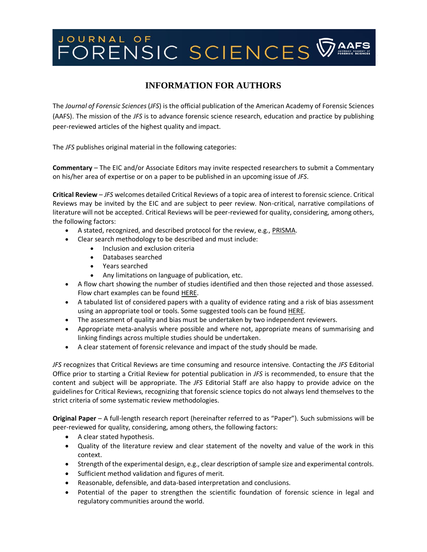# JOURNAL OF<br>FORENSIC SCIENCES **WAAFS**

# **INFORMATION FOR AUTHORS**

The *Journal of Forensic Sciences* (*JFS*) is the official publication of the American Academy of Forensic Sciences (AAFS). The mission of the *JFS* is to advance forensic science research, education and practice by publishing peer-reviewed articles of the highest quality and impact.

The *JFS* publishes original material in the following categories:

**Commentary** – The EIC and/or Associate Editors may invite respected researchers to submit a Commentary on his/her area of expertise or on a paper to be published in an upcoming issue of *JFS*.

**Critical Review** – *JFS* welcomes detailed Critical Reviews of a topic area of interest to forensic science. Critical Reviews may be invited by the EIC and are subject to peer review. Non-critical, narrative compilations of literature will not be accepted. Critical Reviews will be peer-reviewed for quality, considering, among others, the following factors:

- A stated, recognized, and described protocol for the review, e.g., [PRISMA.](http://www.prisma-statement.org/Protocols/)
- Clear search methodology to be described and must include:
	- Inclusion and exclusion criteria
	- Databases searched
	- Years searched
	- Any limitations on language of publication, etc.
- A flow chart showing the number of studies identified and then those rejected and those assessed. Flow chart examples can be found [HERE.](http://prisma-statement.org/prismastatement/flowdiagram.aspx)
- A tabulated list of considered papers with a quality of evidence rating and a risk of bias assessment using an appropriate tool or tools. Some suggested tools can be found [HERE.](https://med.mercer.edu/library/systematic-review-quality-assessment.htm)
- The assessment of quality and bias must be undertaken by two independent reviewers.
- Appropriate meta-analysis where possible and where not, appropriate means of summarising and linking findings across multiple studies should be undertaken.
- A clear statement of forensic relevance and impact of the study should be made.

*JFS* recognizes that Critical Reviews are time consuming and resource intensive. Contacting the *JFS* Editorial Office prior to starting a Critial Review for potential publication in *JFS* is recommended, to ensure that the content and subject will be appropriate. The *JFS* Editorial Staff are also happy to provide advice on the guidelines for Critical Reviews, recognizing that forensic science topics do not always lend themselves to the strict criteria of some systematic review methodologies.

**Original Paper** – A full-length research report (hereinafter referred to as "Paper"). Such submissions will be peer-reviewed for quality, considering, among others, the following factors:

- A clear stated hypothesis.
- Quality of the literature review and clear statement of the novelty and value of the work in this context.
- Strength of the experimental design, e.g., clear description of sample size and experimental controls.
- Sufficient method validation and figures of merit.
- Reasonable, defensible, and data-based interpretation and conclusions.
- Potential of the paper to strengthen the scientific foundation of forensic science in legal and regulatory communities around the world.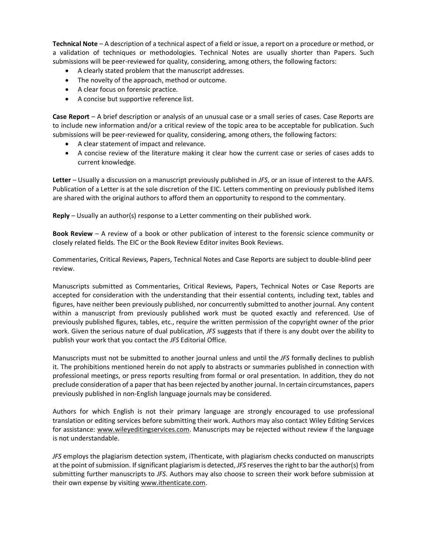**Technical Note** – A description of a technical aspect of a field or issue, a report on a procedure or method, or a validation of techniques or methodologies. Technical Notes are usually shorter than Papers. Such submissions will be peer-reviewed for quality, considering, among others, the following factors:

- A clearly stated problem that the manuscript addresses.
- The novelty of the approach, method or outcome.
- A clear focus on forensic practice.
- A concise but supportive reference list.

**Case Report** – A brief description or analysis of an unusual case or a small series of cases. Case Reports are to include new information and/or a critical review of the topic area to be acceptable for publication. Such submissions will be peer-reviewed for quality, considering, among others, the following factors:

- A clear statement of impact and relevance.
- A concise review of the literature making it clear how the current case or series of cases adds to current knowledge.

**Letter** – Usually a discussion on a manuscript previously published in *JFS*, or an issue of interest to the AAFS. Publication of a Letter is at the sole discretion of the EIC. Letters commenting on previously published items are shared with the original authors to afford them an opportunity to respond to the commentary.

**Reply** – Usually an author(s) response to a Letter commenting on their published work.

**Book Review** – A review of a book or other publication of interest to the forensic science community or closely related fields. The EIC or the Book Review Editor invites Book Reviews.

Commentaries, Critical Reviews, Papers, Technical Notes and Case Reports are subject to double-blind peer review.

Manuscripts submitted as Commentaries, Critical Reviews, Papers, Technical Notes or Case Reports are accepted for consideration with the understanding that their essential contents, including text, tables and figures, have neither been previously published, nor concurrently submitted to another journal. Any content within a manuscript from previously published work must be quoted exactly and referenced. Use of previously published figures, tables, etc., require the written permission of the copyright owner of the prior work. Given the serious nature of dual publication, *JFS* suggests that if there is any doubt over the ability to publish your work that you contact the *JFS* Editorial Office.

Manuscripts must not be submitted to another journal unless and until the *JFS* formally declines to publish it. The prohibitions mentioned herein do not apply to abstracts or summaries published in connection with professional meetings, or press reports resulting from formal or oral presentation. In addition, they do not preclude consideration of a paper that has been rejected by another journal. In certain circumstances, papers previously published in non-English language journals may be considered.

Authors for which English is not their primary language are strongly encouraged to use professional translation or editing services before submitting their work. Authors may also contact Wiley Editing Services for assistance: [www.wileyeditingservices.com.](http://www.wileyeditingservices.com/) Manuscripts may be rejected without review if the language is not understandable.

*JFS* employs the plagiarism detection system, iThenticate, with plagiarism checks conducted on manuscripts at the point of submission. If significant plagiarism is detected, *JFS* reserves the right to bar the author(s) from submitting further manuscripts to *JFS*. Authors may also choose to screen their work before submission at their own expense by visiting [www.ithenticate.com.](http://www.ithenticate.com/)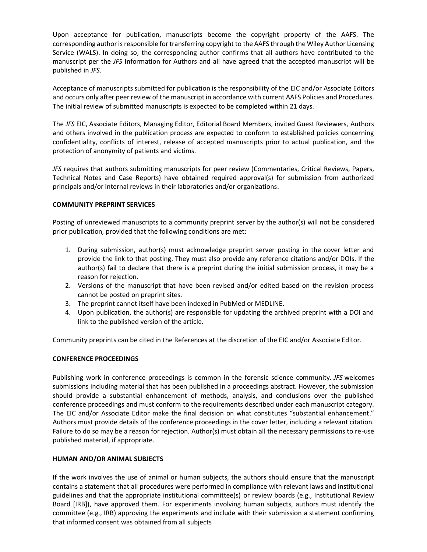Upon acceptance for publication, manuscripts become the copyright property of the AAFS. The corresponding author is responsible for transferring copyright to the AAFS through the Wiley Author Licensing Service (WALS). In doing so, the corresponding author confirms that all authors have contributed to the manuscript per the *JFS* Information for Authors and all have agreed that the accepted manuscript will be published in *JFS*.

Acceptance of manuscripts submitted for publication is the responsibility of the EIC and/or Associate Editors and occurs only after peer review of the manuscript in accordance with current AAFS Policies and Procedures. The initial review of submitted manuscripts is expected to be completed within 21 days.

The *JFS* EIC, Associate Editors, Managing Editor, Editorial Board Members, invited Guest Reviewers, Authors and others involved in the publication process are expected to conform to established policies concerning confidentiality, conflicts of interest, release of accepted manuscripts prior to actual publication, and the protection of anonymity of patients and victims.

*JFS* requires that authors submitting manuscripts for peer review (Commentaries, Critical Reviews, Papers, Technical Notes and Case Reports) have obtained required approval(s) for submission from authorized principals and/or internal reviews in their laboratories and/or organizations.

# **COMMUNITY PREPRINT SERVICES**

Posting of unreviewed manuscripts to a community preprint server by the author(s) will not be considered prior publication, provided that the following conditions are met:

- 1. During submission, author(s) must acknowledge preprint server posting in the cover letter and provide the link to that posting. They must also provide any reference citations and/or DOIs. If the author(s) fail to declare that there is a preprint during the initial submission process, it may be a reason for rejection.
- 2. Versions of the manuscript that have been revised and/or edited based on the revision process cannot be posted on preprint sites.
- 3. The preprint cannot itself have been indexed in PubMed or MEDLINE.
- 4. Upon publication, the author(s) are responsible for updating the archived preprint with a DOI and link to the published version of the article.

Community preprints can be cited in the References at the discretion of the EIC and/or Associate Editor.

# **CONFERENCE PROCEEDINGS**

Publishing work in conference proceedings is common in the forensic science community. *JFS* welcomes submissions including material that has been published in a proceedings abstract. However, the submission should provide a substantial enhancement of methods, analysis, and conclusions over the published conference proceedings and must conform to the requirements described under each manuscript category. The EIC and/or Associate Editor make the final decision on what constitutes "substantial enhancement." Authors must provide details of the conference proceedings in the cover letter, including a relevant citation. Failure to do so may be a reason for rejection. Author(s) must obtain all the necessary permissions to re-use published material, if appropriate.

# **HUMAN AND/OR ANIMAL SUBJECTS**

If the work involves the use of animal or human subjects, the authors should ensure that the manuscript contains a statement that all procedures were performed in compliance with relevant laws and institutional guidelines and that the appropriate institutional committee(s) or review boards (e.g., Institutional Review Board [IRB]), have approved them. For experiments involving human subjects, authors must identify the committee (e.g., IRB) approving the experiments and include with their submission a statement confirming that informed consent was obtained from all subjects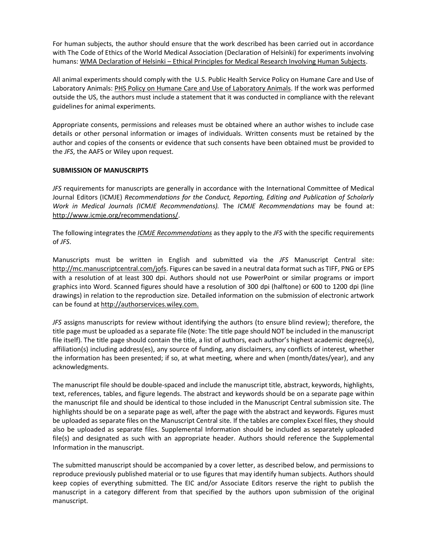For human subjects, the author should ensure that the work described has been carried out in accordance with The Code of Ethics of the World Medical Association (Declaration of Helsinki) for experiments involving humans: WMA Declaration of Helsinki – [Ethical Principles for Medical Research Involving Human Subjects.](https://www.wma.net/policies-post/wma-declaration-of-helsinki-ethical-principles-for-medical-research-involving-human-subjects/)

All animal experiments should comply with the U.S. Public Health Service Policy on Humane Care and Use of Laboratory Animals: [PHS Policy on Humane Care and Use of Laboratory Animals.](https://olaw.nih.gov/policies-laws/phs-policy.htm) If the work was performed outside the US, the authors must include a statement that it was conducted in compliance with the relevant guidelines for animal experiments.

Appropriate consents, permissions and releases must be obtained where an author wishes to include case details or other personal information or images of individuals. Written consents must be retained by the author and copies of the consents or evidence that such consents have been obtained must be provided to the *JFS*, the AAFS or Wiley upon request.

# **SUBMISSION OF MANUSCRIPTS**

*JFS* requirements for manuscripts are generally in accordance with the International Committee of Medical Journal Editors (ICMJE) *Recommendations for the Conduct, Reporting, Editing and Publication of Scholarly Work in Medical Journals (ICMJE Recommendations).* The *ICMJE Recommendations* may be found at: [http://www.icmje.org/recommendations/.](http://www.icmje.org/recommendations/)

The following integrates the *[ICMJE Recommendations](http://www.icmje.org/recommendations/)* as they apply to the *JFS* with the specific requirements of *JFS*.

Manuscripts must be written in English and submitted via the *JFS* Manuscript Central site: [http://mc.manuscriptcentral.com/jofs.](http://mc.manuscriptcentral.com/jofs) Figures can be saved in a neutral data format such as TIFF, PNG or EPS with a resolution of at least 300 dpi. Authors should not use PowerPoint or similar programs or import graphics into Word. Scanned figures should have a resolution of 300 dpi (halftone) or 600 to 1200 dpi (line drawings) in relation to the reproduction size. Detailed information on the submission of electronic artwork can be found a[t http://authorservices.wiley.com.](http://authorservices.wiley.com/)

*JFS* assigns manuscripts for review without identifying the authors (to ensure blind review); therefore, the title page must be uploaded as a separate file (Note: The title page should NOT be included in the manuscript file itself). The title page should contain the title, a list of authors, each author's highest academic degree(s), affiliation(s) including address(es), any source of funding, any disclaimers, any conflicts of interest, whether the information has been presented; if so, at what meeting, where and when (month/dates/year), and any acknowledgments.

The manuscript file should be double-spaced and include the manuscript title, abstract, keywords, highlights, text, references, tables, and figure legends. The abstract and keywords should be on a separate page within the manuscript file and should be identical to those included in the Manuscript Central submission site. The highlights should be on a separate page as well, after the page with the abstract and keywords. Figures must be uploaded as separate files on the Manuscript Central site. If the tables are complex Excel files, they should also be uploaded as separate files. Supplemental Information should be included as separately uploaded file(s) and designated as such with an appropriate header. Authors should reference the Supplemental Information in the manuscript.

The submitted manuscript should be accompanied by a cover letter, as described below, and permissions to reproduce previously published material or to use figures that may identify human subjects. Authors should keep copies of everything submitted. The EIC and/or Associate Editors reserve the right to publish the manuscript in a category different from that specified by the authors upon submission of the original manuscript.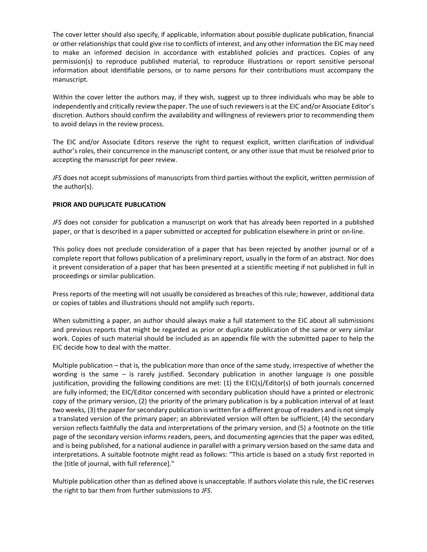The cover letter should also specify, if applicable, information about possible duplicate publication, financial or other relationships that could give rise to conflicts of interest, and any other information the EIC may need to make an informed decision in accordance with established policies and practices. Copies of any permission(s) to reproduce published material, to reproduce illustrations or report sensitive personal information about identifiable persons, or to name persons for their contributions must accompany the manuscript.

Within the cover letter the authors may, if they wish, suggest up to three individuals who may be able to independently and critically review the paper. The use of such reviewers is at the EIC and/or Associate Editor's discretion. Authors should confirm the availability and willingness of reviewers prior to recommending them to avoid delays in the review process.

The EIC and/or Associate Editors reserve the right to request explicit, written clarification of individual author's roles, their concurrence in the manuscript content, or any other issue that must be resolved prior to accepting the manuscript for peer review.

*JFS* does not accept submissions of manuscripts from third parties without the explicit, written permission of the author(s).

# **PRIOR AND DUPLICATE PUBLICATION**

*JFS* does not consider for publication a manuscript on work that has already been reported in a published paper, or that is described in a paper submitted or accepted for publication elsewhere in print or on-line.

This policy does not preclude consideration of a paper that has been rejected by another journal or of a complete report that follows publication of a preliminary report, usually in the form of an abstract. Nor does it prevent consideration of a paper that has been presented at a scientific meeting if not published in full in proceedings or similar publication.

Press reports of the meeting will not usually be considered as breaches of this rule; however, additional data or copies of tables and illustrations should not amplify such reports.

When submitting a paper, an author should always make a full statement to the EIC about all submissions and previous reports that might be regarded as prior or duplicate publication of the same or very similar work. Copies of such material should be included as an appendix file with the submitted paper to help the EIC decide how to deal with the matter.

Multiple publication – that is, the publication more than once of the same study, irrespective of whether the wording is the same – is rarely justified. Secondary publication in another language is one possible justification, providing the following conditions are met: (1) the EIC(s)/Editor(s) of both journals concerned are fully informed; the EIC/Editor concerned with secondary publication should have a printed or electronic copy of the primary version, (2) the priority of the primary publication is by a publication interval of at least two weeks, (3) the paper for secondary publication is written for a different group of readers and is not simply a translated version of the primary paper; an abbreviated version will often be sufficient, (4) the secondary version reflects faithfully the data and interpretations of the primary version, and (5) a footnote on the title page of the secondary version informs readers, peers, and documenting agencies that the paper was edited, and is being published, for a national audience in parallel with a primary version based on the same data and interpretations. A suitable footnote might read as follows: "This article is based on a study first reported in the [title of journal, with full reference]."

Multiple publication other than as defined above is unacceptable. If authors violate this rule, the EIC reserves the right to bar them from further submissions to *JFS*.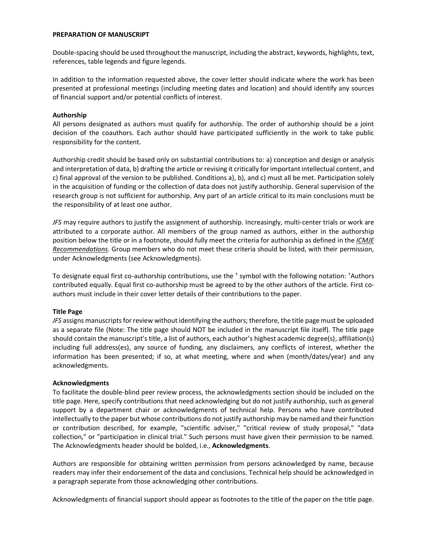#### **PREPARATION OF MANUSCRIPT**

Double-spacing should be used throughout the manuscript, including the abstract, keywords, highlights, text, references, table legends and figure legends.

In addition to the information requested above, the cover letter should indicate where the work has been presented at professional meetings (including meeting dates and location) and should identify any sources of financial support and/or potential conflicts of interest.

# **Authorship**

All persons designated as authors must qualify for authorship. The order of authorship should be a joint decision of the coauthors. Each author should have participated sufficiently in the work to take public responsibility for the content.

Authorship credit should be based only on substantial contributions to: a) conception and design or analysis and interpretation of data, b) drafting the article or revising it critically for important intellectual content, and c) final approval of the version to be published. Conditions a), b), and c) must all be met. Participation solely in the acquisition of funding or the collection of data does not justify authorship. General supervision of the research group is not sufficient for authorship. Any part of an article critical to its main conclusions must be the responsibility of at least one author.

*JFS* may require authors to justify the assignment of authorship. Increasingly, multi-center trials or work are attributed to a corporate author. All members of the group named as authors, either in the authorship position below the title or in a footnote, should fully meet the criteria for authorship as defined in the *[ICMJE](http://www.icmje.org/recommendations/browse/roles-and-responsibilities/defining-the-role-of-authors-and-contributors.html)  [Recommendations](http://www.icmje.org/recommendations/browse/roles-and-responsibilities/defining-the-role-of-authors-and-contributors.html)*. Group members who do not meet these criteria should be listed, with their permission, under Acknowledgments (see Acknowledgments).

To designate equal first co-authorship contributions, use the  $<sup>†</sup>$  symbol with the following notation:  $<sup>†</sup>$ Authors</sup></sup> contributed equally. Equal first co-authorship must be agreed to by the other authors of the article. First coauthors must include in their cover letter details of their contributions to the paper.

#### **Title Page**

*JFS* assigns manuscripts for review without identifying the authors; therefore, the title page must be uploaded as a separate file (Note: The title page should NOT be included in the manuscript file itself). The title page should contain the manuscript's title, a list of authors, each author's highest academic degree(s), affiliation(s) including full address(es), any source of funding, any disclaimers, any conflicts of interest, whether the information has been presented; if so, at what meeting, where and when (month/dates/year) and any acknowledgments.

#### **Acknowledgments**

To facilitate the double-blind peer review process, the acknowledgments section should be included on the title page. Here, specify contributions that need acknowledging but do not justify authorship, such as general support by a department chair or acknowledgments of technical help. Persons who have contributed intellectually to the paper but whose contributions do not justify authorship may be named and their function or contribution described, for example, "scientific adviser," "critical review of study proposal," "data collection," or "participation in clinical trial." Such persons must have given their permission to be named. The Acknowledgments header should be bolded, i.e., **Acknowledgments**.

Authors are responsible for obtaining written permission from persons acknowledged by name, because readers may infer their endorsement of the data and conclusions. Technical help should be acknowledged in a paragraph separate from those acknowledging other contributions.

Acknowledgments of financial support should appear as footnotes to the title of the paper on the title page.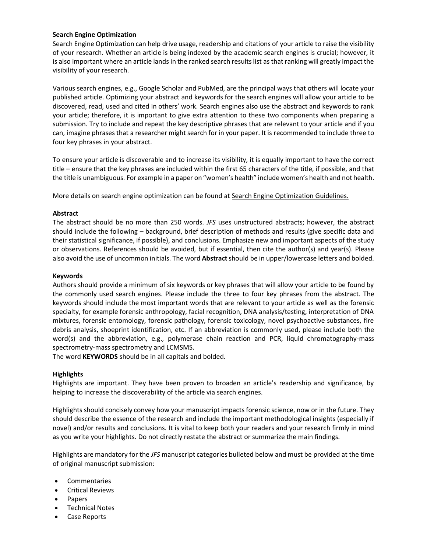# **Search Engine Optimization**

Search Engine Optimization can help drive usage, readership and citations of your article to raise the visibility of your research. Whether an article is being indexed by the academic search engines is crucial; however, it is also important where an article lands in the ranked search results list as that ranking will greatly impact the visibility of your research.

Various search engines, e.g., Google Scholar and PubMed, are the principal ways that others will locate your published article. Optimizing your abstract and keywords for the search engines will allow your article to be discovered, read, used and cited in others' work. Search engines also use the abstract and keywords to rank your article; therefore, it is important to give extra attention to these two components when preparing a submission. Try to include and repeat the key descriptive phrases that are relevant to your article and if you can, imagine phrases that a researcher might search for in your paper. It is recommended to include three to four key phrases in your abstract.

To ensure your article is discoverable and to increase its visibility, it is equally important to have the correct title – ensure that the key phrases are included within the first 65 characters of the title, if possible, and that the title is unambiguous. For example in a paper on "women's health" include women's health and not health.

More details on search engine optimization can be found at [Search Engine Optimization Guidelines.](https://authorservices.wiley.com/author-resources/Journal-Authors/Prepare/writing-for-seo.html)

# **Abstract**

The abstract should be no more than 250 words. *JFS* uses unstructured abstracts; however, the abstract should include the following – background, brief description of methods and results (give specific data and their statistical significance, if possible), and conclusions. Emphasize new and important aspects of the study or observations. References should be avoided, but if essential, then cite the author(s) and year(s). Please also avoid the use of uncommon initials. The word **Abstract**should be in upper/lowercase letters and bolded.

# **Keywords**

Authors should provide a minimum of six keywords or key phrases that will allow your article to be found by the commonly used search engines. Please include the three to four key phrases from the abstract. The keywords should include the most important words that are relevant to your article as well as the forensic specialty, for example forensic anthropology, facial recognition, DNA analysis/testing, interpretation of DNA mixtures, forensic entomology, forensic pathology, forensic toxicology, novel psychoactive substances, fire debris analysis, shoeprint identification, etc. If an abbreviation is commonly used, please include both the word(s) and the abbreviation, e.g., polymerase chain reaction and PCR, liquid chromatography-mass spectrometry-mass spectrometry and LCMSMS.

The word **KEYWORDS** should be in all capitals and bolded.

# **Highlights**

Highlights are important. They have been proven to broaden an article's readership and significance, by helping to increase the discoverability of the article via search engines.

Highlights should concisely convey how your manuscript impacts forensic science, now or in the future. They should describe the essence of the research and include the important methodological insights (especially if novel) and/or results and conclusions. It is vital to keep both your readers and your research firmly in mind as you write your highlights. Do not directly restate the abstract or summarize the main findings.

Highlights are mandatory for the *JFS* manuscript categories bulleted below and must be provided at the time of original manuscript submission:

- **Commentaries**
- Critical Reviews
- Papers
- Technical Notes
- Case Reports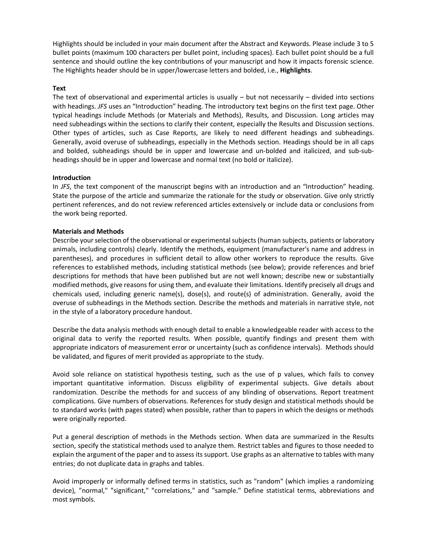Highlights should be included in your main document after the Abstract and Keywords. Please include 3 to 5 bullet points (maximum 100 characters per bullet point, including spaces). Each bullet point should be a full sentence and should outline the key contributions of your manuscript and how it impacts forensic science. The Highlights header should be in upper/lowercase letters and bolded, i.e., **Highlights**.

# **Text**

The text of observational and experimental articles is usually – but not necessarily – divided into sections with headings. *JFS* uses an "Introduction" heading. The introductory text begins on the first text page. Other typical headings include Methods (or Materials and Methods), Results, and Discussion. Long articles may need subheadings within the sections to clarify their content, especially the Results and Discussion sections. Other types of articles, such as Case Reports, are likely to need different headings and subheadings. Generally, avoid overuse of subheadings, especially in the Methods section. Headings should be in all caps and bolded, subheadings should be in upper and lowercase and un-bolded and italicized, and sub-subheadings should be in upper and lowercase and normal text (no bold or italicize).

#### **Introduction**

In *JFS*, the text component of the manuscript begins with an introduction and an "Introduction" heading. State the purpose of the article and summarize the rationale for the study or observation. Give only strictly pertinent references, and do not review referenced articles extensively or include data or conclusions from the work being reported.

#### **Materials and Methods**

Describe your selection of the observational or experimental subjects (human subjects, patients or laboratory animals, including controls) clearly. Identify the methods, equipment (manufacturer's name and address in parentheses), and procedures in sufficient detail to allow other workers to reproduce the results. Give references to established methods, including statistical methods (see below); provide references and brief descriptions for methods that have been published but are not well known; describe new or substantially modified methods, give reasons for using them, and evaluate their limitations. Identify precisely all drugs and chemicals used, including generic name(s), dose(s), and route(s) of administration. Generally, avoid the overuse of subheadings in the Methods section. Describe the methods and materials in narrative style, not in the style of a laboratory procedure handout.

Describe the data analysis methods with enough detail to enable a knowledgeable reader with access to the original data to verify the reported results. When possible, quantify findings and present them with appropriate indicators of measurement error or uncertainty (such as confidence intervals). Methods should be validated, and figures of merit provided as appropriate to the study.

Avoid sole reliance on statistical hypothesis testing, such as the use of p values, which fails to convey important quantitative information. Discuss eligibility of experimental subjects. Give details about randomization. Describe the methods for and success of any blinding of observations. Report treatment complications. Give numbers of observations. References for study design and statistical methods should be to standard works (with pages stated) when possible, rather than to papers in which the designs or methods were originally reported.

Put a general description of methods in the Methods section. When data are summarized in the Results section, specify the statistical methods used to analyze them. Restrict tables and figures to those needed to explain the argument of the paper and to assess its support. Use graphs as an alternative to tables with many entries; do not duplicate data in graphs and tables.

Avoid improperly or informally defined terms in statistics, such as "random" (which implies a randomizing device), "normal," "significant," "correlations," and "sample." Define statistical terms, abbreviations and most symbols.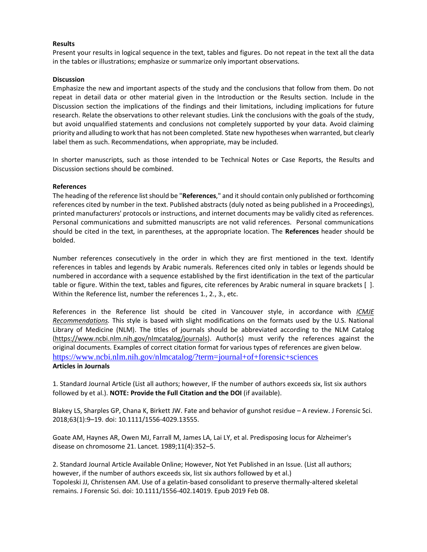# **Results**

Present your results in logical sequence in the text, tables and figures. Do not repeat in the text all the data in the tables or illustrations; emphasize or summarize only important observations.

# **Discussion**

Emphasize the new and important aspects of the study and the conclusions that follow from them. Do not repeat in detail data or other material given in the Introduction or the Results section. Include in the Discussion section the implications of the findings and their limitations, including implications for future research. Relate the observations to other relevant studies. Link the conclusions with the goals of the study, but avoid unqualified statements and conclusions not completely supported by your data. Avoid claiming priority and alluding to work that has not been completed. State new hypotheses when warranted, but clearly label them as such. Recommendations, when appropriate, may be included.

In shorter manuscripts, such as those intended to be Technical Notes or Case Reports, the Results and Discussion sections should be combined.

# **References**

The heading of the reference list should be "**References**," and it should contain only published or forthcoming references cited by number in the text. Published abstracts (duly noted as being published in a Proceedings), printed manufacturers' protocols or instructions, and internet documents may be validly cited as references. Personal communications and submitted manuscripts are not valid references. Personal communications should be cited in the text, in parentheses, at the appropriate location. The **References** header should be bolded.

Number references consecutively in the order in which they are first mentioned in the text. Identify references in tables and legends by Arabic numerals. References cited only in tables or legends should be numbered in accordance with a sequence established by the first identification in the text of the particular table or figure. Within the text, tables and figures, cite references by Arabic numeral in square brackets [ ]. Within the Reference list, number the references 1., 2., 3., etc.

References in the Reference list should be cited in Vancouver style, in accordance with *[ICMJE](http://www.icmje.org/recommendations/)  [Recommendations.](http://www.icmje.org/recommendations/)* This style is based with slight modifications on the formats used by the U.S. National Library of Medicine (NLM). The titles of journals should be abbreviated according to the NLM Catalog [\(https://www.ncbi.nlm.nih.gov/nlmcatalog/journals\)](https://www.ncbi.nlm.nih.gov/nlmcatalog/journals). Author(s) must verify the references against the original documents. Examples of correct citation format for various types of references are given below. <https://www.ncbi.nlm.nih.gov/nlmcatalog/?term=journal+of+forensic+sciences> **Articles in Journals** 

1. Standard Journal Article (List all authors; however, IF the number of authors exceeds six, list six authors followed by et al.). **NOTE: Provide the Full Citation and the DOI** (if available).

Blakey LS, Sharples GP, Chana K, Birkett JW. Fate and behavior of gunshot residue – A review. J Forensic Sci. 2018;63(1):9–19. doi: 10.1111/1556-4029.13555.

Goate AM, Haynes AR, Owen MJ, Farrall M, James LA, Lai LY, et al. Predisposing locus for Alzheimer's disease on chromosome 21. Lancet. 1989;11(4):352–5.

2. Standard Journal Article Available Online; However, Not Yet Published in an Issue. (List all authors; however, if the number of authors exceeds six, list six authors followed by et al.) Topoleski JJ, Christensen AM. Use of a gelatin-based consolidant to preserve thermally-altered skeletal remains. J Forensic Sci. doi: 10.1111/1556-402.14019. Epub 2019 Feb 08.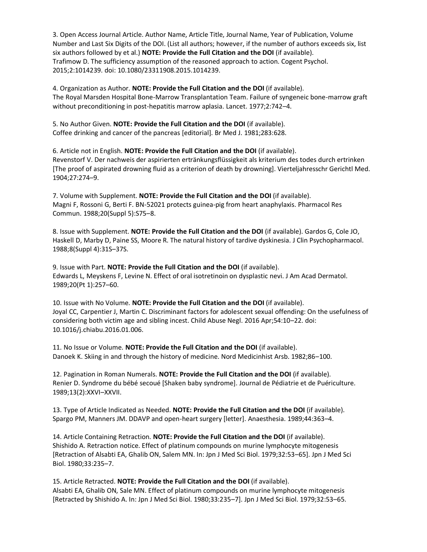3. Open Access Journal Article. Author Name, Article Title, Journal Name, Year of Publication, Volume Number and Last Six Digits of the DOI. (List all authors; however, if the number of authors exceeds six, list six authors followed by et al.) **NOTE: Provide the Full Citation and the DOI** (if available). Trafimow D. The sufficiency assumption of the reasoned approach to action. Cogent Psychol. 2015;2:1014239. doi: 10.1080/23311908.2015.1014239.

4. Organization as Author. **NOTE: Provide the Full Citation and the DOI** (if available). The Royal Marsden Hospital Bone-Marrow Transplantation Team. Failure of syngeneic bone-marrow graft without preconditioning in post-hepatitis marrow aplasia. Lancet. 1977;2:742–4.

5. No Author Given. **NOTE: Provide the Full Citation and the DOI** (if available). Coffee drinking and cancer of the pancreas [editorial]. Br Med J. 1981;283:628.

6. Article not in English. **NOTE: Provide the Full Citation and the DOI** (if available). Revenstorf V. Der nachweis der aspirierten ertränkungsflüssigkeit als kriterium des todes durch ertrinken [The proof of aspirated drowning fluid as a criterion of death by drowning]. Vierteljahresschr Gerichtl Med. 1904;27:274–9.

7. Volume with Supplement. **NOTE: Provide the Full Citation and the DOI** (if available). Magni F, Rossoni G, Berti F. BN-52021 protects guinea-pig from heart anaphylaxis. Pharmacol Res Commun. 1988;20(Suppl 5):S75–8.

8. Issue with Supplement. **NOTE: Provide the Full Citation and the DOI** (if available). Gardos G, Cole JO, Haskell D, Marby D, Paine SS, Moore R. The natural history of tardive dyskinesia. J Clin Psychopharmacol. 1988;8(Suppl 4):31S–37S.

9. Issue with Part. **NOTE: Provide the Full Citation and the DOI** (if available). Edwards L, Meyskens F, Levine N. Effect of oral isotretinoin on dysplastic nevi. J Am Acad Dermatol. 1989;20(Pt 1):257–60.

10. Issue with No Volume. **NOTE: Provide the Full Citation and the DOI** (if available). Joyal CC, Carpentier J, Martin C. Discriminant factors for adolescent sexual offending: On the usefulness of considering both victim age and sibling incest. Child Abuse Negl. 2016 Apr;54:10–22. doi: 10.1016/j.chiabu.2016.01.006.

11. No Issue or Volume. **NOTE: Provide the Full Citation and the DOI** (if available). Danoek K. Skiing in and through the history of medicine. Nord Medicinhist Arsb. 1982;86–100.

12. Pagination in Roman Numerals. **NOTE: Provide the Full Citation and the DOI** (if available). Renier D. Syndrome du bébé secoué [Shaken baby syndrome]. Journal de Pédiatrie et de Puériculture. 1989;13(2):XXVI–XXVII.

13. Type of Article Indicated as Needed. **NOTE: Provide the Full Citation and the DOI** (if available). Spargo PM, Manners JM. DDAVP and open-heart surgery [letter]. Anaesthesia. 1989;44:363–4.

14. Article Containing Retraction. **NOTE: Provide the Full Citation and the DOI** (if available). Shishido A. Retraction notice. Effect of platinum compounds on murine lymphocyte mitogenesis [Retraction of Alsabti EA, Ghalib ON, Salem MN. In: Jpn J Med Sci Biol. 1979;32:53–65]. Jpn J Med Sci Biol. 1980;33:235–7.

15. Article Retracted. **NOTE: Provide the Full Citation and the DOI** (if available). Alsabti EA, Ghalib ON, Sale MN. Effect of platinum compounds on murine lymphocyte mitogenesis [Retracted by Shishido A. In: Jpn J Med Sci Biol. 1980;33:235–7]. Jpn J Med Sci Biol. 1979;32:53–65.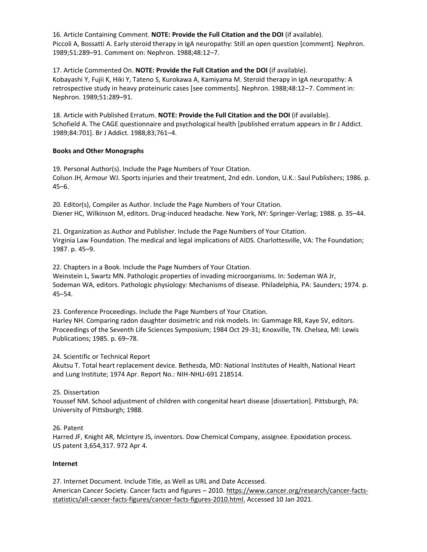16. Article Containing Comment. **NOTE: Provide the Full Citation and the DOI** (if available). Piccoli A, Bossatti A. Early steroid therapy in IgA neuropathy: Still an open question [comment]. Nephron. 1989;51:289–91. Comment on: Nephron. 1988;48:12–7.

17. Article Commented On. **NOTE: Provide the Full Citation and the DOI** (if available). Kobayashi Y, Fujii K, Hiki Y, Tateno S, Kurokawa A, Kamiyama M. Steroid therapy in IgA neuropathy: A retrospective study in heavy proteinuric cases [see comments]. Nephron. 1988;48:12–7. Comment in: Nephron. 1989;51:289–91.

18. Article with Published Erratum. **NOTE: Provide the Full Citation and the DOI** (if available). Schofield A. The CAGE questionnaire and psychological health [published erratum appears in Br J Addict. 1989;84:701]. Br J Addict. 1988;83;761–4.

# **Books and Other Monographs**

19. Personal Author(s). Include the Page Numbers of Your Citation. Colson JH, Armour WJ. Sports injuries and their treatment, 2nd edn. London, U.K.: Saul Publishers; 1986. p. 45–6.

20. Editor(s), Compiler as Author. Include the Page Numbers of Your Citation. Diener HC, Wilkinson M, editors. Drug-induced headache. New York, NY: Springer-Verlag; 1988. p. 35–44.

21. Organization as Author and Publisher. Include the Page Numbers of Your Citation. Virginia Law Foundation. The medical and legal implications of AIDS. Charlottesville, VA: The Foundation; 1987. p. 45–9.

22. Chapters in a Book. Include the Page Numbers of Your Citation.

Weinstein L, Swartz MN. Pathologic properties of invading microorganisms. In: Sodeman WA Jr, Sodeman WA, editors. Pathologic physiology: Mechanisms of disease. Philadelphia, PA: Saunders; 1974. p. 45–54.

23. Conference Proceedings. Include the Page Numbers of Your Citation.

Harley NH. Comparing radon daughter dosimetric and risk models. In: Gammage RB, Kaye SV, editors. Proceedings of the Seventh Life Sciences Symposium; 1984 Oct 29-31; Knoxville, TN. Chelsea, Ml: Lewis Publications; 1985. p. 69–78.

24. Scientific or Technical Report

Akutsu T. Total heart replacement device. Bethesda, MD: National Institutes of Health, National Heart and Lung Institute; 1974 Apr. Report No.: NIH-NHLI-691 218514.

# 25. Dissertation

Youssef NM. School adjustment of children with congenital heart disease [dissertation]. Pittsburgh, PA: University of Pittsburgh; 1988.

# 26. Patent

Harred JF, Knight AR, McIntyre JS, inventors. Dow Chemical Company, assignee. Epoxidation process. US patent 3,654,317. 972 Apr 4.

# **Internet**

27. Internet Document. Include Title, as Well as URL and Date Accessed. American Cancer Society. Cancer facts and figures - 2010[. https://www.cancer.org/research/cancer-facts](https://www.cancer.org/research/cancer-facts-statistics/all-cancer-facts-figures/cancer-facts-figures-2010.html)[statistics/all-cancer-facts-figures/cancer-facts-figures-2010.html.](https://www.cancer.org/research/cancer-facts-statistics/all-cancer-facts-figures/cancer-facts-figures-2010.html) Accessed 10 Jan 2021.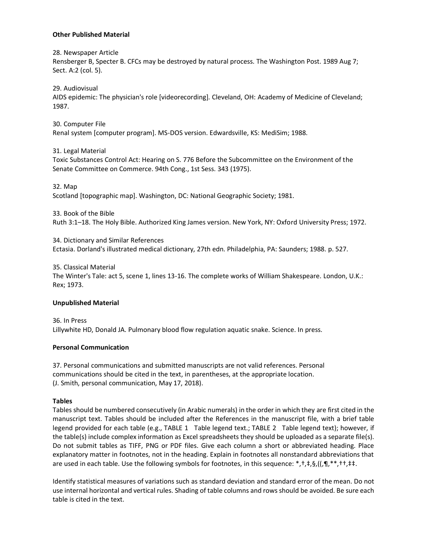# **Other Published Material**

28. Newspaper Article

Rensberger B, Specter B. CFCs may be destroyed by natural process. The Washington Post. 1989 Aug 7; Sect. A:2 (col. 5).

29. Audiovisual

AIDS epidemic: The physician's role [videorecording]. Cleveland, OH: Academy of Medicine of Cleveland; 1987.

30. Computer File Renal system [computer program]. MS-DOS version. Edwardsville, KS: MediSim; 1988.

31. Legal Material

Toxic Substances Control Act: Hearing on S. 776 Before the Subcommittee on the Environment of the Senate Committee on Commerce. 94th Cong., 1st Sess. 343 (1975).

32. Map

Scotland [topographic map]. Washington, DC: National Geographic Society; 1981.

33. Book of the Bible

Ruth 3:1–18. The Holy Bible. Authorized King James version. New York, NY: Oxford University Press; 1972.

34. Dictionary and Similar References Ectasia. Dorland's illustrated medical dictionary, 27th edn. Philadelphia, PA: Saunders; 1988. p. 527.

35. Classical Material

The Winter's Tale: act 5, scene 1, lines 13-16. The complete works of William Shakespeare. London, U.K.: Rex; 1973.

# **Unpublished Material**

36. In Press Lillywhite HD, Donald JA. Pulmonary blood flow regulation aquatic snake. Science. In press.

# **Personal Communication**

37. Personal communications and submitted manuscripts are not valid references. Personal communications should be cited in the text, in parentheses, at the appropriate location. (J. Smith, personal communication, May 17, 2018).

# **Tables**

Tables should be numbered consecutively (in Arabic numerals) in the order in which they are first cited in the manuscript text. Tables should be included after the References in the manuscript file, with a brief table legend provided for each table (e.g., TABLE 1 Table legend text.; TABLE 2 Table legend text); however, if the table(s) include complex information as Excel spreadsheets they should be uploaded as a separate file(s). Do not submit tables as TIFF, PNG or PDF files. Give each column a short or abbreviated heading. Place explanatory matter in footnotes, not in the heading. Explain in footnotes all nonstandard abbreviations that are used in each table. Use the following symbols for footnotes, in this sequence: \*, \*, \*, \$, ((, ¶, \*\*, \* +, ± \*,

Identify statistical measures of variations such as standard deviation and standard error of the mean. Do not use internal horizontal and vertical rules. Shading of table columns and rows should be avoided. Be sure each table is cited in the text.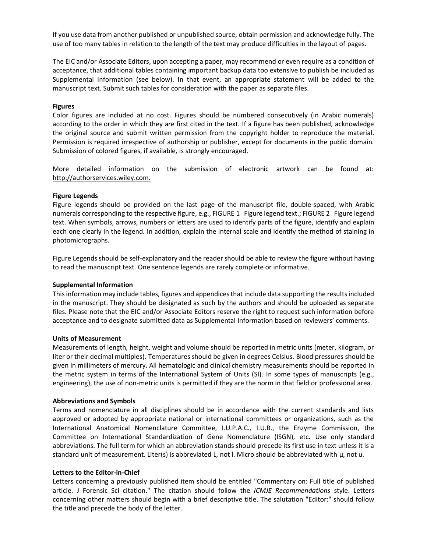If you use data from another published or unpublished source, obtain permission and acknowledge fully. The use of too many tables in relation to the length of the text may produce difficulties in the layout of pages.

The EIC and/or Associate Editors, upon accepting a paper, may recommend or even require as a condition of acceptance, that additional tables containing important backup data too extensive to publish be included as Supplemental Information (see below). In that event, an appropriate statement will be added to the manuscript text. Submit such tables for consideration with the paper as separate files.

#### **Figures**

Color figures are included at no cost. Figures should be numbered consecutively (in Arabic numerals) according to the order in which they are first cited in the text. If a figure has been published, acknowledge the original source and submit written permission from the copyright holder to reproduce the material. Permission is required irrespective of authorship or publisher, except for documents in the public domain. Submission of colored figures, if available, is strongly encouraged.

More detailed information on the submission of electronic artwork can be found at: [http://authorservices.wiley.com.](http://authorservices.wiley.com/)

#### **Figure Legends**

Figure legends should be provided on the last page of the manuscript file, double-spaced, with Arabic numerals corresponding to the respective figure, e.g., FIGURE 1 Figure legend text.; FIGURE 2 Figure legend text. When symbols, arrows, numbers or letters are used to identify parts of the figure, identify and explain each one clearly in the legend. In addition, explain the internal scale and identify the method of staining in photomicrographs.

Figure Legends should be self-explanatory and the reader should be able to review the figure without having to read the manuscript text. One sentence legends are rarely complete or informative.

#### **Supplemental Information**

This information may include tables, figures and appendices that include data supporting the results included in the manuscript. They should be designated as such by the authors and should be uploaded as separate files. Please note that the EIC and/or Associate Editors reserve the right to request such information before acceptance and to designate submitted data as Supplemental Information based on reviewers' comments.

#### **Units of Measurement**

Measurements of length, height, weight and volume should be reported in metric units (meter, kilogram, or liter or their decimal multiples). Temperatures should be given in degrees Celsius. Blood pressures should be given in millimeters of mercury. All hematologic and clinical chemistry measurements should be reported in the metric system in terms of the International System of Units (SI). In some types of manuscripts (e.g., engineering), the use of non-metric units is permitted if they are the norm in that field or professional area.

#### **Abbreviations and Symbols**

Terms and nomenclature in all disciplines should be in accordance with the current standards and lists approved or adopted by appropriate national or international committees or organizations, such as the International Anatomical Nomenclature Committee, I.U.P.A.C., I.U.B., the Enzyme Commission, the Committee on International Standardization of Gene Nomenclature (ISGN), etc. Use only standard abbreviations. The full term for which an abbreviation stands should precede its first use in text unless it is a standard unit of measurement. Liter(s) is abbreviated L, not l. Micro should be abbreviated with  $\mu$ , not u.

#### **Letters to the Editor-in-Chief**

Letters concerning a previously published item should be entitled "Commentary on: Full title of published article. J Forensic Sci citation." The citation should follow the *[ICMJE Recommendations](http://www.icmje.org/recommendations/browse/manuscript-preparation/preparing-for-submission.html#g)* style. Letters concerning other matters should begin with a brief descriptive title. The salutation "Editor:" should follow the title and precede the body of the letter.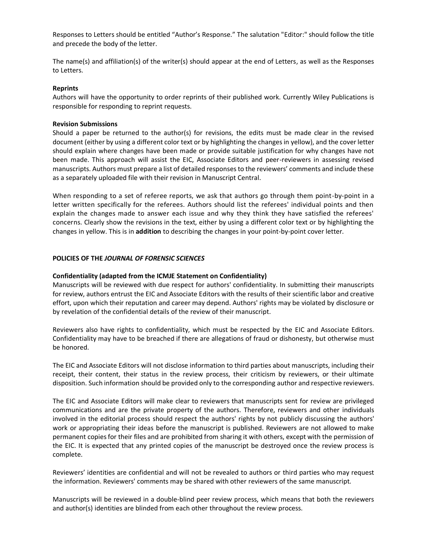Responses to Letters should be entitled "Author's Response." The salutation "Editor:" should follow the title and precede the body of the letter.

The name(s) and affiliation(s) of the writer(s) should appear at the end of Letters, as well as the Responses to Letters.

#### **Reprints**

Authors will have the opportunity to order reprints of their published work. Currently Wiley Publications is responsible for responding to reprint requests.

#### **Revision Submissions**

Should a paper be returned to the author(s) for revisions, the edits must be made clear in the revised document (either by using a different color text or by highlighting the changes in yellow), and the cover letter should explain where changes have been made or provide suitable justification for why changes have not been made. This approach will assist the EIC, Associate Editors and peer-reviewers in assessing revised manuscripts. Authors must prepare a list of detailed responses to the reviewers' comments and include these as a separately uploaded file with their revision in Manuscript Central.

When responding to a set of referee reports, we ask that authors go through them point-by-point in a letter written specifically for the referees. Authors should list the referees' individual points and then explain the changes made to answer each issue and why they think they have satisfied the referees' concerns. Clearly show the revisions in the text, either by using a different color text or by highlighting the changes in yellow. This is in **addition** to describing the changes in your point-by-point cover letter.

#### **POLICIES OF THE** *JOURNAL OF FORENSIC SCIENCES*

#### **Confidentiality (adapted from the ICMJE Statement on Confidentiality)**

Manuscripts will be reviewed with due respect for authors' confidentiality. In submitting their manuscripts for review, authors entrust the EIC and Associate Editors with the results of their scientific labor and creative effort, upon which their reputation and career may depend. Authors' rights may be violated by disclosure or by revelation of the confidential details of the review of their manuscript.

Reviewers also have rights to confidentiality, which must be respected by the EIC and Associate Editors. Confidentiality may have to be breached if there are allegations of fraud or dishonesty, but otherwise must be honored.

The EIC and Associate Editors will not disclose information to third parties about manuscripts, including their receipt, their content, their status in the review process, their criticism by reviewers, or their ultimate disposition. Such information should be provided only to the corresponding author and respective reviewers.

The EIC and Associate Editors will make clear to reviewers that manuscripts sent for review are privileged communications and are the private property of the authors. Therefore, reviewers and other individuals involved in the editorial process should respect the authors' rights by not publicly discussing the authors' work or appropriating their ideas before the manuscript is published. Reviewers are not allowed to make permanent copies for their files and are prohibited from sharing it with others, except with the permission of the EIC. It is expected that any printed copies of the manuscript be destroyed once the review process is complete.

Reviewers' identities are confidential and will not be revealed to authors or third parties who may request the information. Reviewers' comments may be shared with other reviewers of the same manuscript.

Manuscripts will be reviewed in a double-blind peer review process, which means that both the reviewers and author(s) identities are blinded from each other throughout the review process.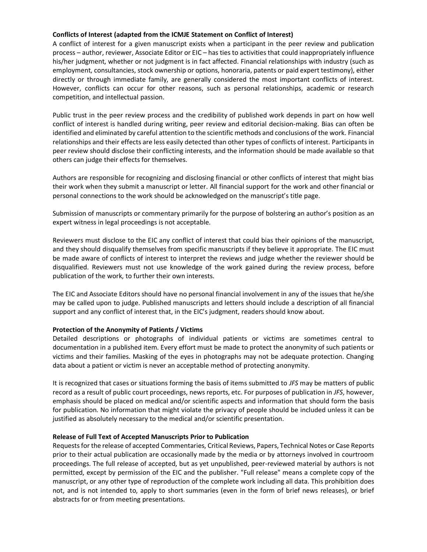# **Conflicts of Interest (adapted from the ICMJE Statement on Conflict of Interest)**

A conflict of interest for a given manuscript exists when a participant in the peer review and publication process – author, reviewer, Associate Editor or EIC – has ties to activities that could inappropriately influence his/her judgment, whether or not judgment is in fact affected. Financial relationships with industry (such as employment, consultancies, stock ownership or options, honoraria, patents or paid expert testimony), either directly or through immediate family, are generally considered the most important conflicts of interest. However, conflicts can occur for other reasons, such as personal relationships, academic or research competition, and intellectual passion.

Public trust in the peer review process and the credibility of published work depends in part on how well conflict of interest is handled during writing, peer review and editorial decision-making. Bias can often be identified and eliminated by careful attention to the scientific methods and conclusions of the work. Financial relationships and their effects are less easily detected than other types of conflicts of interest. Participants in peer review should disclose their conflicting interests, and the information should be made available so that others can judge their effects for themselves.

Authors are responsible for recognizing and disclosing financial or other conflicts of interest that might bias their work when they submit a manuscript or letter. All financial support for the work and other financial or personal connections to the work should be acknowledged on the manuscript's title page.

Submission of manuscripts or commentary primarily for the purpose of bolstering an author's position as an expert witness in legal proceedings is not acceptable.

Reviewers must disclose to the EIC any conflict of interest that could bias their opinions of the manuscript, and they should disqualify themselves from specific manuscripts if they believe it appropriate. The EIC must be made aware of conflicts of interest to interpret the reviews and judge whether the reviewer should be disqualified. Reviewers must not use knowledge of the work gained during the review process, before publication of the work, to further their own interests.

The EIC and Associate Editors should have no personal financial involvement in any of the issues that he/she may be called upon to judge. Published manuscripts and letters should include a description of all financial support and any conflict of interest that, in the EIC's judgment, readers should know about.

# **Protection of the Anonymity of Patients / Victims**

Detailed descriptions or photographs of individual patients or victims are sometimes central to documentation in a published item. Every effort must be made to protect the anonymity of such patients or victims and their families. Masking of the eyes in photographs may not be adequate protection. Changing data about a patient or victim is never an acceptable method of protecting anonymity.

It is recognized that cases or situations forming the basis of items submitted to *JFS* may be matters of public record as a result of public court proceedings, news reports, etc. For purposes of publication in *JFS*, however, emphasis should be placed on medical and/or scientific aspects and information that should form the basis for publication. No information that might violate the privacy of people should be included unless it can be justified as absolutely necessary to the medical and/or scientific presentation.

# **Release of Full Text of Accepted Manuscripts Prior to Publication**

Requests for the release of accepted Commentaries, Critical Reviews, Papers, Technical Notes or Case Reports prior to their actual publication are occasionally made by the media or by attorneys involved in courtroom proceedings. The full release of accepted, but as yet unpublished, peer-reviewed material by authors is not permitted, except by permission of the EIC and the publisher. "Full release" means a complete copy of the manuscript, or any other type of reproduction of the complete work including all data. This prohibition does not, and is not intended to, apply to short summaries (even in the form of brief news releases), or brief abstracts for or from meeting presentations.